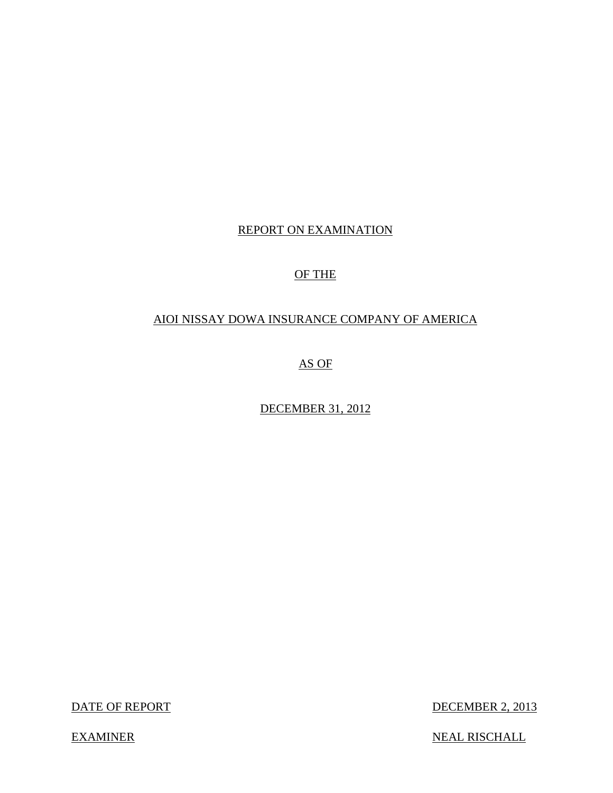# REPORT ON EXAMINATION<br>OF THE

## OF THE

## AIOI NISSAY DOWA INSURANCE COMPANY OF AMERICA

AS OF

DECEMBER 31, 2012

DATE OF REPORT

DECEMBER 2, 2013

**EXAMINER** 

NEAL RISCHALL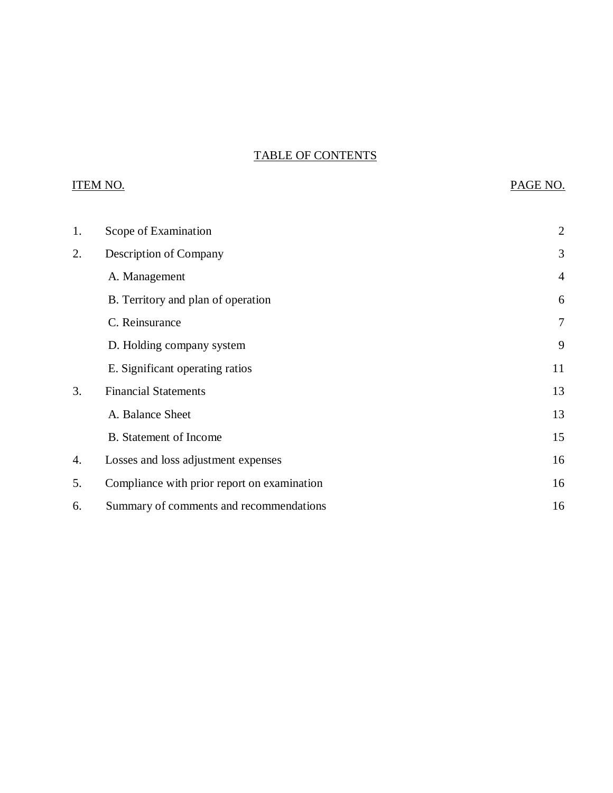## TABLE OF CONTENTS

## **ITEM NO.**

## PAGE NO.

| 1. | Scope of Examination                        | $\overline{2}$ |
|----|---------------------------------------------|----------------|
| 2. | Description of Company                      | 3              |
|    | A. Management                               | $\overline{4}$ |
|    | B. Territory and plan of operation          | 6              |
|    | C. Reinsurance                              | $\overline{7}$ |
|    | D. Holding company system                   | 9              |
|    | E. Significant operating ratios             | 11             |
| 3. | <b>Financial Statements</b>                 | 13             |
|    | A. Balance Sheet                            | 13             |
|    | <b>B.</b> Statement of Income               | 15             |
| 4. | Losses and loss adjustment expenses         | 16             |
| 5. | Compliance with prior report on examination | 16             |
| 6. | Summary of comments and recommendations     | 16             |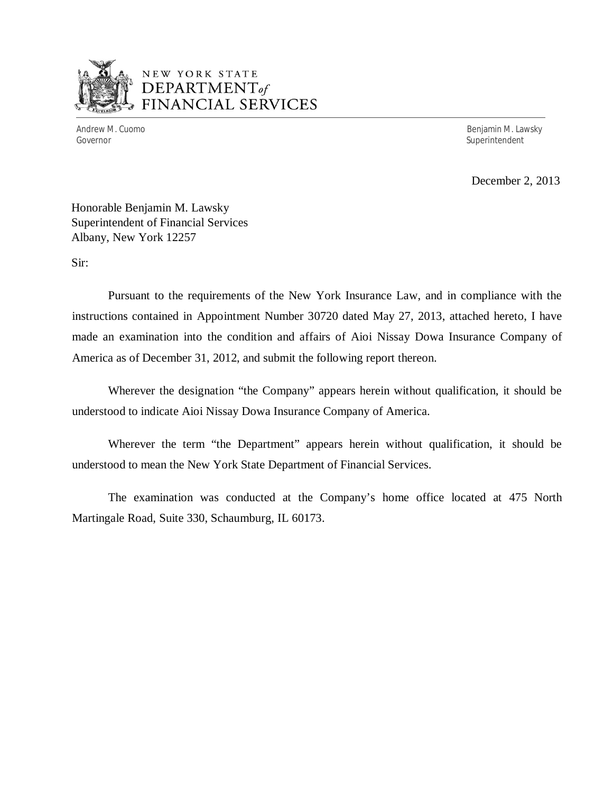

## EW YORK STATE DEPARTMENT *of*  FINANCIAL SERVICES

Governor Superintendent Superintendent Superintendent Superintendent Superintendent Superintendent Superintendent

Andrew M. Cuomo **Benjamin M. Lawsky** 

December 2, 2013

 Honorable Benjamin M. Lawsky Superintendent of Financial Services Albany, New York 12257

Sir:

 Sir: Pursuant to the requirements of the New York Insurance Law, and in compliance with the instructions contained in Appointment Number 30720 dated May 27, 2013, attached hereto, I have made an examination into the condition and affairs of Aioi Nissay Dowa Insurance Company of America as of December 31, 2012, and submit the following report thereon.

 Wherever the designation "the Company" appears herein without qualification, it should be understood to indicate Aioi Nissay Dowa Insurance Company of America.

 Wherever the term "the Department" appears herein without qualification, it should be understood to mean the New York State Department of Financial Services.

 Martingale Road, Suite 330, Schaumburg, IL 60173. The examination was conducted at the Company's home office located at 475 North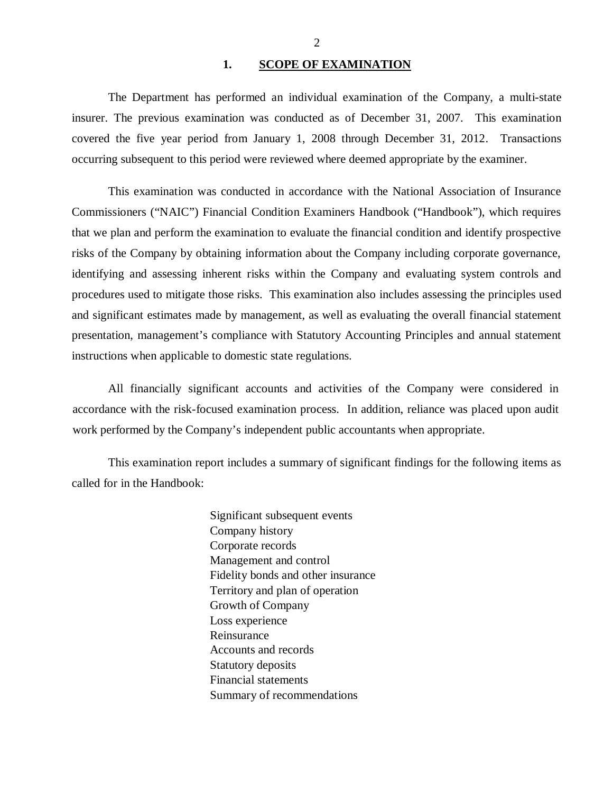#### **1. 1. SCOPE OF EXAMINATION**

<span id="page-3-0"></span> The Department has performed an individual examination of the Company, a multi-state insurer. The previous examination was conducted as of December 31, 2007. This examination covered the five year period from January 1, 2008 through December 31, 2012. Transactions occurring subsequent to this period were reviewed where deemed appropriate by the examiner.

 Commissioners ("NAIC") Financial Condition Examiners Handbook ("Handbook"), which requires that we plan and perform the examination to evaluate the financial condition and identify prospective risks of the Company by obtaining information about the Company including corporate governance, identifying and assessing inherent risks within the Company and evaluating system controls and procedures used to mitigate those risks. This examination also includes assessing the principles used and significant estimates made by management, as well as evaluating the overall financial statement presentation, management's compliance with Statutory Accounting Principles and annual statement instructions when applicable to domestic state regulations. This examination was conducted in accordance with the National Association of Insurance

 accordance with the risk-focused examination process. In addition, reliance was placed upon audit work performed by the Company's independent public accountants when appropriate. All financially significant accounts and activities of the Company were considered in

 called for in the Handbook: This examination report includes a summary of significant findings for the following items as

> Significant subsequent events Company history Corporate records Management and control Fidelity bonds and other insurance Territory and plan of operation Growth of Company Loss experience Reinsurance Reinsurance Accounts and records Statutory deposits Financial statements Summary of recommendations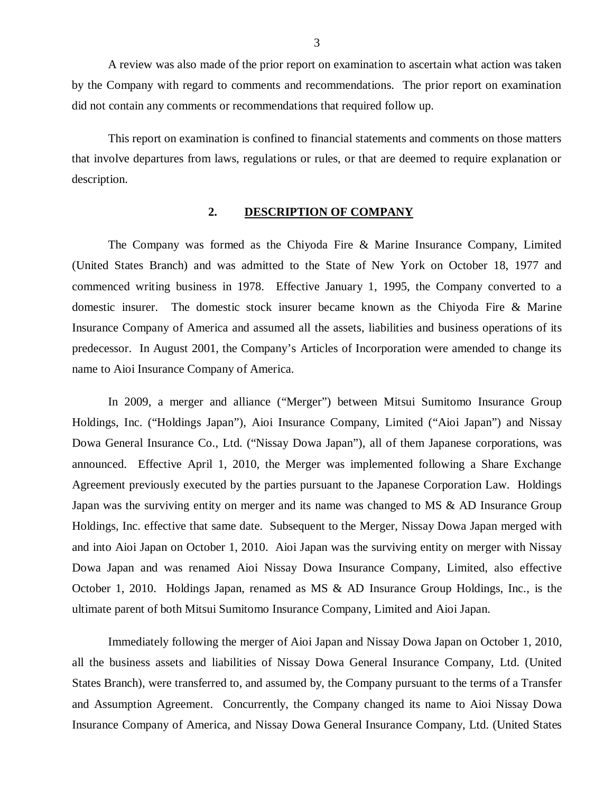<span id="page-4-0"></span><sup>3</sup><br>3 A review was also made of the prior report on examination to ascertain what action was taken by the Company with regard to comments and recommendations. The prior report on examination did not contain any comments or recommendations that required follow up.

 This report on examination is confined to financial statements and comments on those matters that involve departures from laws, regulations or rules, or that are deemed to require explanation or description.

#### $2.$ **2. DESCRIPTION OF COMPANY**

 (United States Branch) and was admitted to the State of New York on October 18, 1977 and commenced writing business in 1978. Effective January 1, 1995, the Company converted to a domestic insurer. The domestic stock insurer became known as the Chiyoda Fire & Marine Insurance Company of America and assumed all the assets, liabilities and business operations of its predecessor. In August 2001, the Company's Articles of Incorporation were amended to change its name to Aioi Insurance Company of America. The Company was formed as the Chiyoda Fire & Marine Insurance Company, Limited

 Holdings, Inc. ("Holdings Japan"), Aioi Insurance Company, Limited ("Aioi Japan") and Nissay Dowa General Insurance Co., Ltd. ("Nissay Dowa Japan"), all of them Japanese corporations, was announced. Effective April 1, 2010, the Merger was implemented following a Share Exchange Agreement previously executed by the parties pursuant to the Japanese Corporation Law. Holdings Japan was the surviving entity on merger and its name was changed to MS  $\&$  AD Insurance Group Holdings, Inc. effective that same date. Subsequent to the Merger, Nissay Dowa Japan merged with and into Aioi Japan on October 1, 2010. Aioi Japan was the surviving entity on merger with Nissay Dowa Japan and was renamed Aioi Nissay Dowa Insurance Company, Limited, also effective October 1, 2010. Holdings Japan, renamed as MS & AD Insurance Group Holdings, Inc., is the ultimate parent of both Mitsui Sumitomo Insurance Company, Limited and Aioi Japan. In 2009, a merger and alliance ("Merger") between Mitsui Sumitomo Insurance Group

 Immediately following the merger of Aioi Japan and Nissay Dowa Japan on October 1, 2010, all the business assets and liabilities of Nissay Dowa General Insurance Company, Ltd. (United States Branch), were transferred to, and assumed by, the Company pursuant to the terms of a Transfer and Assumption Agreement. Concurrently, the Company changed its name to Aioi Nissay Dowa Insurance Company of America, and Nissay Dowa General Insurance Company, Ltd. (United States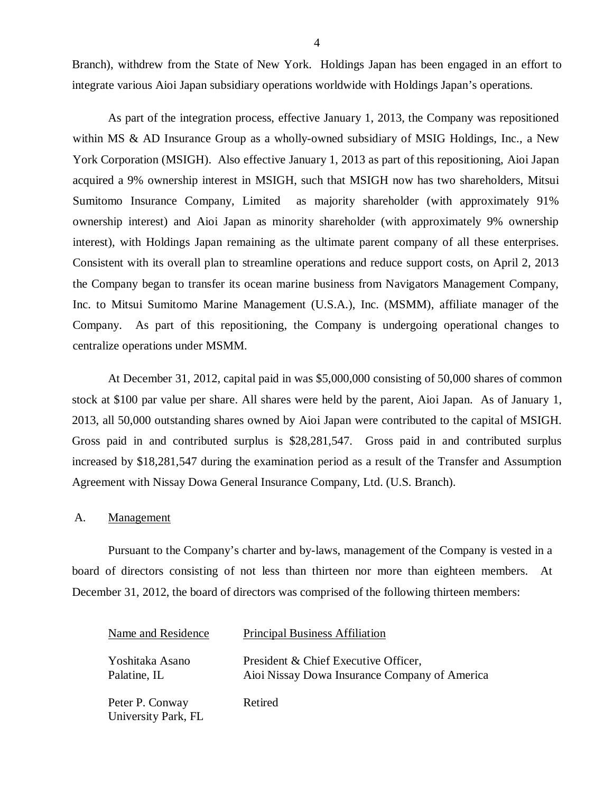<span id="page-5-0"></span>4<br>Branch), withdrew from the State of New York. Holdings Japan has been engaged in an effort to integrate various Aioi Japan subsidiary operations worldwide with Holdings Japan's operations.

 As part of the integration process, effective January 1, 2013, the Company was repositioned within MS & AD Insurance Group as a wholly-owned subsidiary of MSIG Holdings, Inc., a New York Corporation (MSIGH). Also effective January 1, 2013 as part of this repositioning, Aioi Japan acquired a 9% ownership interest in MSIGH, such that MSIGH now has two shareholders, Mitsui Sumitomo Insurance Company, Limited as majority shareholder (with approximately 91% ownership interest) and Aioi Japan as minority shareholder (with approximately 9% ownership interest), with Holdings Japan remaining as the ultimate parent company of all these enterprises. Consistent with its overall plan to streamline operations and reduce support costs, on April 2, 2013 the Company began to transfer its ocean marine business from Navigators Management Company, Inc. to Mitsui Sumitomo Marine Management (U.S.A.), Inc. (MSMM), affiliate manager of the Company. As part of this repositioning, the Company is undergoing operational changes to centralize operations under MSMM.

 stock at \$100 par value per share. All shares were held by the parent, Aioi Japan. As of January 1, 2013, all 50,000 outstanding shares owned by Aioi Japan were contributed to the capital of MSIGH. Gross paid in and contributed surplus is \$28,281,547. Gross paid in and contributed surplus increased by \$18,281,547 during the examination period as a result of the Transfer and Assumption Agreement with Nissay Dowa General Insurance Company, Ltd. (U.S. Branch). At December 31, 2012, capital paid in was \$5,000,000 consisting of 50,000 shares of common

#### A. **Management**

 Pursuant to the Company's charter and by-laws, management of the Company is vested in a board of directors consisting of not less than thirteen nor more than eighteen members. At December 31, 2012, the board of directors was comprised of the following thirteen members:

| Name and Residence                     | <b>Principal Business Affiliation</b>                                                 |
|----------------------------------------|---------------------------------------------------------------------------------------|
| Yoshitaka Asano<br>Palatine, IL        | President & Chief Executive Officer,<br>Aioi Nissay Dowa Insurance Company of America |
| Peter P. Conway<br>University Park, FL | Retired                                                                               |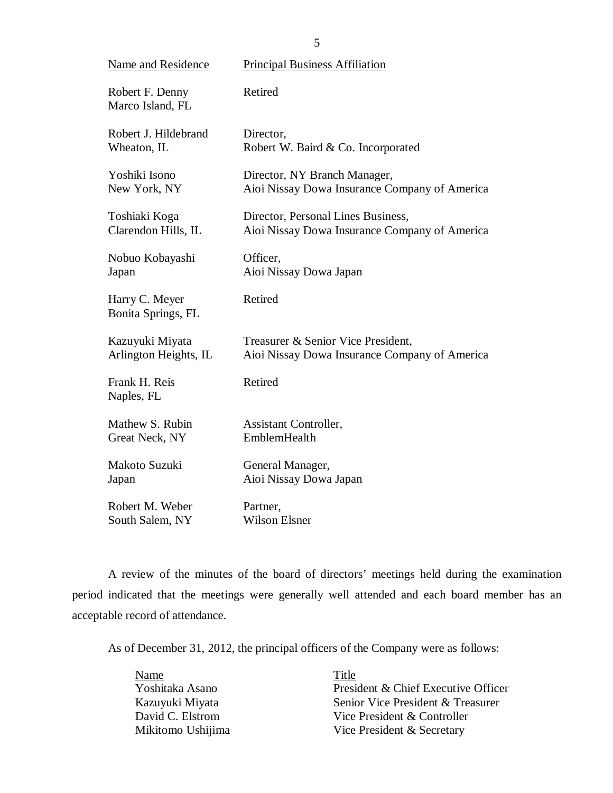5<br>
Name and Residence Principal Business Affiliation Robert F. Denny Retired Marco Island, FL Robert J. Hildebrand Director, Wheaton, IL Director. Wheaton, IL Robert W. Baird & Co. Incorporated Yoshiki Isono New York, NY Yoshiki Isono Director, NY Branch Manager, New York, NY Aioi Nissay Dowa Insurance Company of America Toshiaki Koga Clarendon Hills, IL Toshiaki Koga Director, Personal Lines Business, Clarendon Hills, IL Aioi Nissay Dowa Insurance Company of America Nobuo Kobayashi Officer, Japan Aioi Nissay Dowa Japan Harry C. Meyer Retired Bonita Springs, FL Kazuyuki Miyata Arlington Heights, IL Kazuyuki Miyata Treasurer & Senior Vice President, Arlington Heights, IL Aioi Nissay Dowa Insurance Company of America Frank H. Reis Retired Naples, FL Mathew S. Rubin Great Neck, NY EmblemHealth Mathew S. Rubin **Assistant Controller**, Makoto Suzuki General Manager, Japan Aioi Nissay Dowa Japan Robert M. Weber Robert M. Weber Partner, South Salem, NY Wilson Elsner Partner, **Wilson Elsner** 

 period indicated that the meetings were generally well attended and each board member has an acceptable record of attendance. A review of the minutes of the board of directors' meetings held during the examination

As of December 31, 2012, the principal officers of the Company were as follows:

| Name              | Title                               |
|-------------------|-------------------------------------|
| Yoshitaka Asano   | President & Chief Executive Officer |
| Kazuyuki Miyata   | Senior Vice President & Treasurer   |
| David C. Elstrom  | Vice President & Controller         |
| Mikitomo Ushijima | Vice President & Secretary          |

5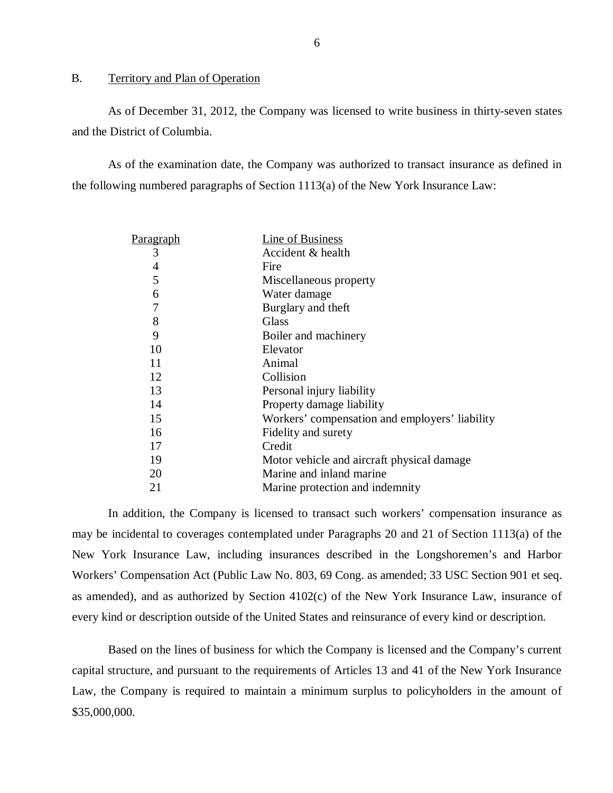#### <span id="page-7-0"></span> $B<sub>1</sub>$ Territory and Plan of Operation

 and the District of Columbia. As of December 31, 2012, the Company was licensed to write business in thirty-seven states

 the following numbered paragraphs of Section 1113(a) of the New York Insurance Law: As of the examination date, the Company was authorized to transact insurance as defined in

| <u>Paragraph</u> | Line of Business                               |
|------------------|------------------------------------------------|
| 3                | Accident & health                              |
| 4                | Fire                                           |
| 5                | Miscellaneous property                         |
| 6                | Water damage                                   |
| 7                | Burglary and theft                             |
| 8                | <b>Glass</b>                                   |
| 9                | Boiler and machinery                           |
| 10               | Elevator                                       |
| 11               | Animal                                         |
| 12               | Collision                                      |
| 13               | Personal injury liability                      |
| 14               | Property damage liability                      |
| 15               | Workers' compensation and employers' liability |
| 16               | Fidelity and surety                            |
| 17               | Credit                                         |
| 19               | Motor vehicle and aircraft physical damage.    |
| 20               | Marine and inland marine                       |
| 21               | Marine protection and indemnity                |

 may be incidental to coverages contemplated under Paragraphs 20 and 21 of Section 1113(a) of the New York Insurance Law, including insurances described in the Longshoremen's and Harbor Workers' Compensation Act (Public Law No. 803, 69 Cong. as amended; 33 USC Section 901 et seq. as amended), and as authorized by Section 4102(c) of the New York Insurance Law, insurance of every kind or description outside of the United States and reinsurance of every kind or description. In addition, the Company is licensed to transact such workers' compensation insurance as

 Based on the lines of business for which the Company is licensed and the Company's current capital structure, and pursuant to the requirements of Articles 13 and 41 of the New York Insurance Law, the Company is required to maintain a minimum surplus to policyholders in the amount of \$35,000,000.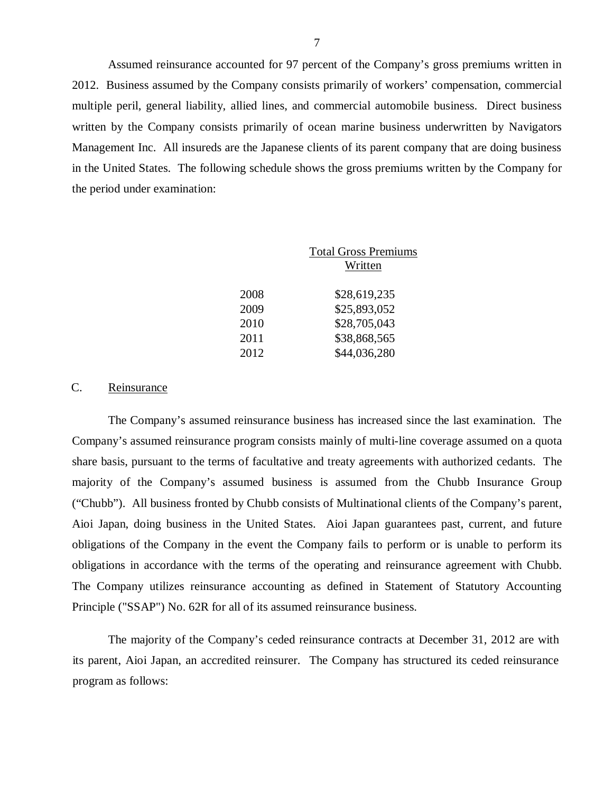7<br>Assumed reinsurance accounted for 97 percent of the Company's gross premiums written in 2012. Business assumed by the Company consists primarily of workers' compensation, commercial multiple peril, general liability, allied lines, and commercial automobile business. Direct business written by the Company consists primarily of ocean marine business underwritten by Navigators Management Inc. All insureds are the Japanese clients of its parent company that are doing business in the United States. The following schedule shows the gross premiums written by the Company for the period under examination:

|      | <b>Total Gross Premiums</b> |  |  |  |
|------|-----------------------------|--|--|--|
|      | Written                     |  |  |  |
|      |                             |  |  |  |
| 2008 | \$28,619,235                |  |  |  |
| 2009 | \$25,893,052                |  |  |  |
| 2010 | \$28,705,043                |  |  |  |
| 2011 | \$38,868,565                |  |  |  |
| 2012 | \$44,036,280                |  |  |  |

#### $C_{\cdot}$ Reinsurance

 Company's assumed reinsurance program consists mainly of multi-line coverage assumed on a quota share basis, pursuant to the terms of facultative and treaty agreements with authorized cedants. The majority of the Company's assumed business is assumed from the Chubb Insurance Group ("Chubb"). All business fronted by Chubb consists of Multinational clients of the Company's parent, Aioi Japan, doing business in the United States. Aioi Japan guarantees past, current, and future obligations of the Company in the event the Company fails to perform or is unable to perform its obligations in accordance with the terms of the operating and reinsurance agreement with Chubb. The Company utilizes reinsurance accounting as defined in Statement of Statutory Accounting Principle ("SSAP") No. 62R for all of its assumed reinsurance business. The Company's assumed reinsurance business has increased since the last examination. The

 The majority of the Company's ceded reinsurance contracts at December 31, 2012 are with its parent, Aioi Japan, an accredited reinsurer. The Company has structured its ceded reinsurance program as follows: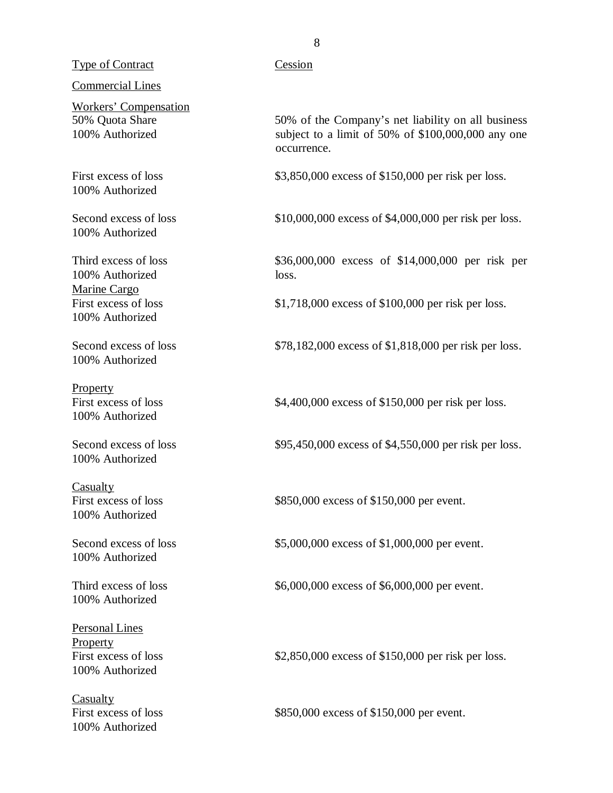## 8<br>Type of Contract Cession

## Commercial Lines

50% Ouota Share 100% Authorized Workers' Compensation

First excess of loss 100% Authorized

Second excess of loss 100% Authorized

Third excess of loss 100% Authorized loss. Marine Cargo First excess of loss 100% Authorized

Second excess of loss 100% Authorized

First excess of loss 100% Authorized Property

Second excess of loss 100% Authorized

First excess of loss 100% Authorized Casualty

Second excess of loss 100% Authorized

Third excess of loss 100% Authorized

 Personal Lines First excess of loss 100% Authorized **Property** 

First excess of loss 100% Authorized **Casualty** 

 50% Quota Share 50% of the Company's net liability on all business 100% Authorized subject to a limit of 50% of \$100,000,000 any one occurrence.

First excess of loss \$3,850,000 excess of \$150,000 per risk per loss.

Second excess of loss \$10,000,000 excess of \$4,000,000 per risk per loss.

Third excess of loss \$36,000,000 excess of \$14,000,000 per risk per

First excess of loss \$1,718,000 excess of \$100,000 per risk per loss.

Second excess of loss \$78,182,000 excess of \$1,818,000 per risk per loss.

First excess of loss \$4,400,000 excess of \$150,000 per risk per loss.

Second excess of loss \$95,450,000 excess of \$4,550,000 per risk per loss.

First excess of loss \$850,000 excess of \$150,000 per event.

Second excess of loss \$5,000,000 excess of \$1,000,000 per event.

Third excess of loss \$6,000,000 excess of \$6,000,000 per event.

First excess of loss \$2,850,000 excess of \$150,000 per risk per loss.

First excess of loss \$850,000 excess of \$150,000 per event.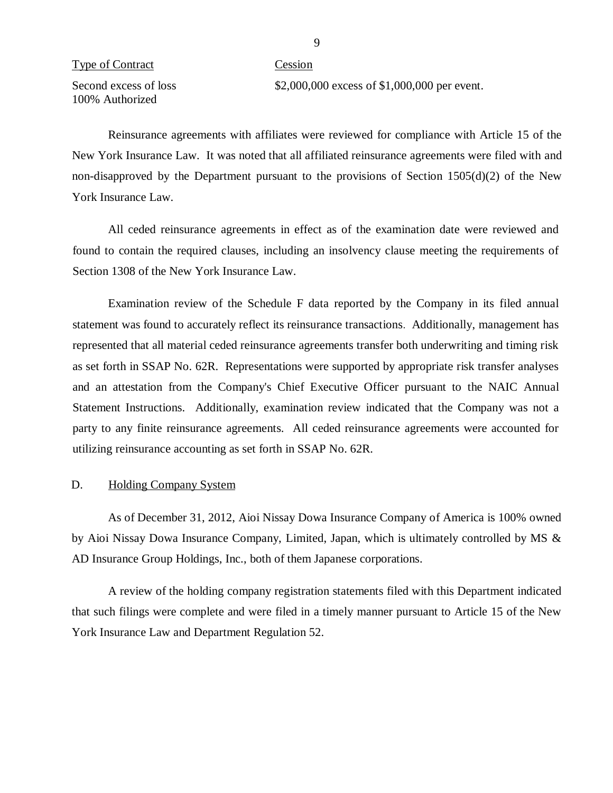## <span id="page-10-0"></span>9<br>
Prime of Contract Cession

Second excess of loss 100% Authorized Second excess of loss \$2,000,000 excess of \$1,000,000 per event.

 Reinsurance agreements with affiliates were reviewed for compliance with Article 15 of the New York Insurance Law. It was noted that all affiliated reinsurance agreements were filed with and non-disapproved by the Department pursuant to the provisions of Section 1505(d)(2) of the New York Insurance Law.

 All ceded reinsurance agreements in effect as of the examination date were reviewed and found to contain the required clauses, including an insolvency clause meeting the requirements of Section 1308 of the New York Insurance Law.

 Examination review of the Schedule F data reported by the Company in its filed annual statement was found to accurately reflect its reinsurance transactions. Additionally, management has represented that all material ceded reinsurance agreements transfer both underwriting and timing risk as set forth in SSAP No. 62R. Representations were supported by appropriate risk transfer analyses and an attestation from the Company's Chief Executive Officer pursuant to the NAIC Annual Statement Instructions. Additionally, examination review indicated that the Company was not a party to any finite reinsurance agreements. All ceded reinsurance agreements were accounted for utilizing reinsurance accounting as set forth in SSAP No. 62R.

#### D. Holding Company System

 As of December 31, 2012, Aioi Nissay Dowa Insurance Company of America is 100% owned by Aioi Nissay Dowa Insurance Company, Limited, Japan, which is ultimately controlled by MS & AD Insurance Group Holdings, Inc., both of them Japanese corporations.

 A review of the holding company registration statements filed with this Department indicated that such filings were complete and were filed in a timely manner pursuant to Article 15 of the New York Insurance Law and Department Regulation 52.

 $\mathbf{Q}$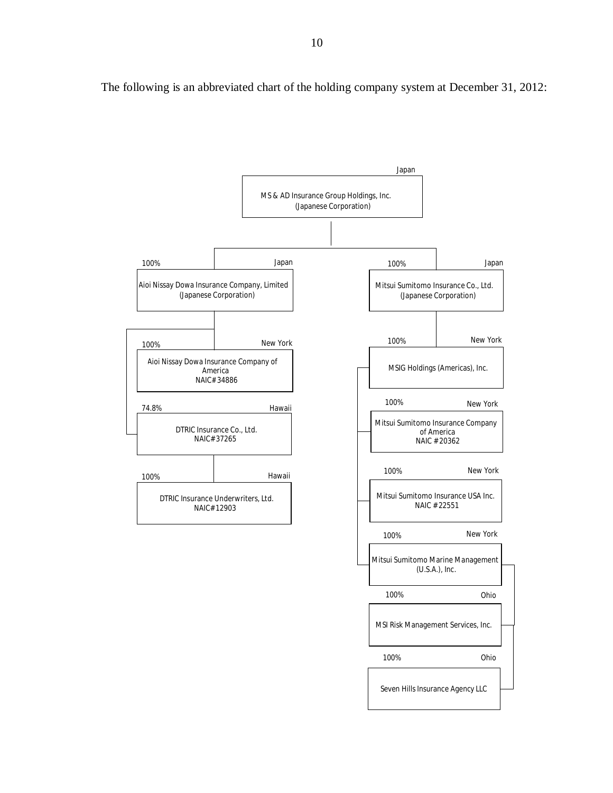The following is an abbreviated chart of the holding company system at December 31, 2012:

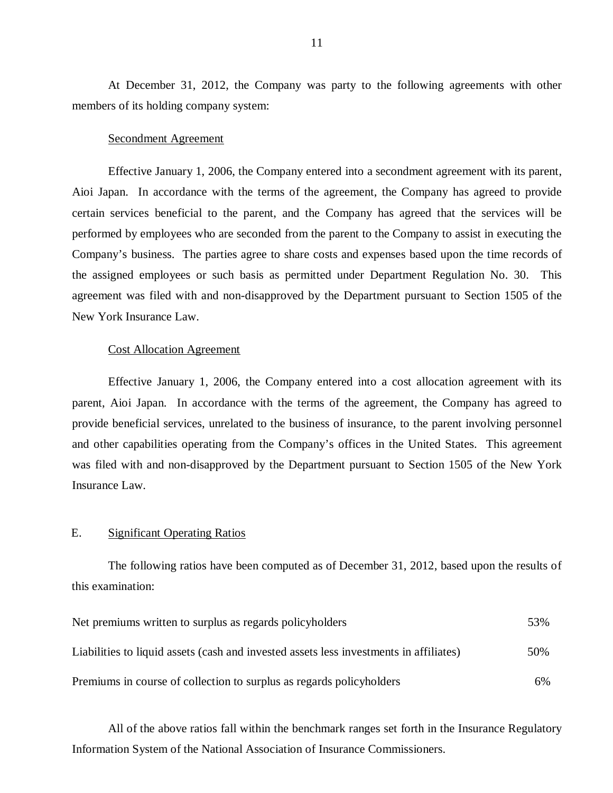members of its holding company system: At December 31, 2012, the Company was party to the following agreements with other

## Secondment Agreement

 Effective January 1, 2006, the Company entered into a secondment agreement with its parent, Aioi Japan. In accordance with the terms of the agreement, the Company has agreed to provide certain services beneficial to the parent, and the Company has agreed that the services will be performed by employees who are seconded from the parent to the Company to assist in executing the Company's business. The parties agree to share costs and expenses based upon the time records of the assigned employees or such basis as permitted under Department Regulation No. 30. This agreement was filed with and non-disapproved by the Department pursuant to Section 1505 of the New York Insurance Law.

## Cost Allocation Agreement

 Effective January 1, 2006, the Company entered into a cost allocation agreement with its parent, Aioi Japan. In accordance with the terms of the agreement, the Company has agreed to provide beneficial services, unrelated to the business of insurance, to the parent involving personnel and other capabilities operating from the Company's offices in the United States. This agreement was filed with and non-disapproved by the Department pursuant to Section 1505 of the New York Insurance Law.

#### E. **Significant Operating Ratios**

this examination: The following ratios have been computed as of December 31, 2012, based upon the results of

| this examination:                                                                      |     |
|----------------------------------------------------------------------------------------|-----|
| Net premiums written to surplus as regards policyholders                               | 53% |
| Liabilities to liquid assets (cash and invested assets less investments in affiliates) | 50% |
| Premiums in course of collection to surplus as regards policyholders                   | 6%  |

 All of the above ratios fall within the benchmark ranges set forth in the Insurance Regulatory Information System of the National Association of Insurance Commissioners.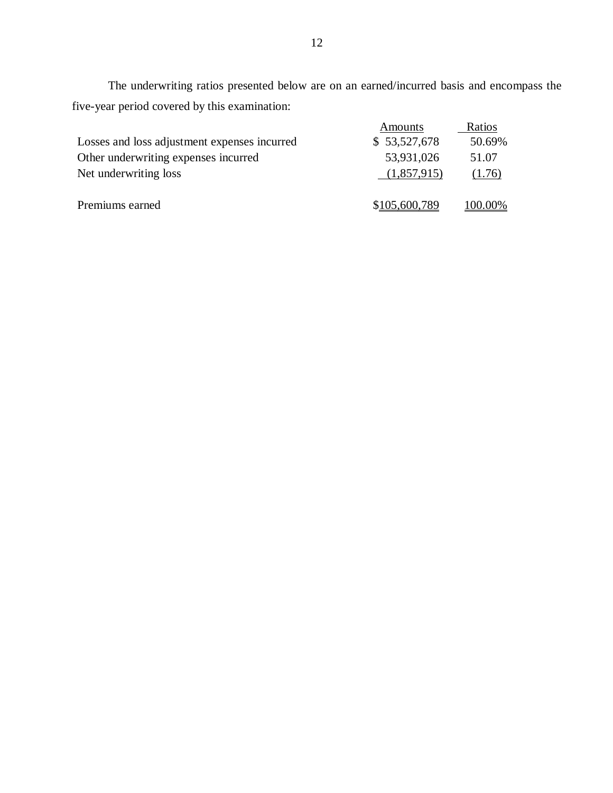five-year period covered by this examination: 12 The underwriting ratios presented below are on an earned/incurred basis and encompass the

| Losses and loss adjustment expenses incurred<br>Other underwriting expenses incurred<br>Net underwriting loss | Amounts<br>\$53,527,678<br>53,931,026<br>(1,857,915) | Ratios<br>50.69%<br>51.07<br>(1.76) |
|---------------------------------------------------------------------------------------------------------------|------------------------------------------------------|-------------------------------------|
| Premiums earned                                                                                               | \$105,600,789                                        | 100.00%                             |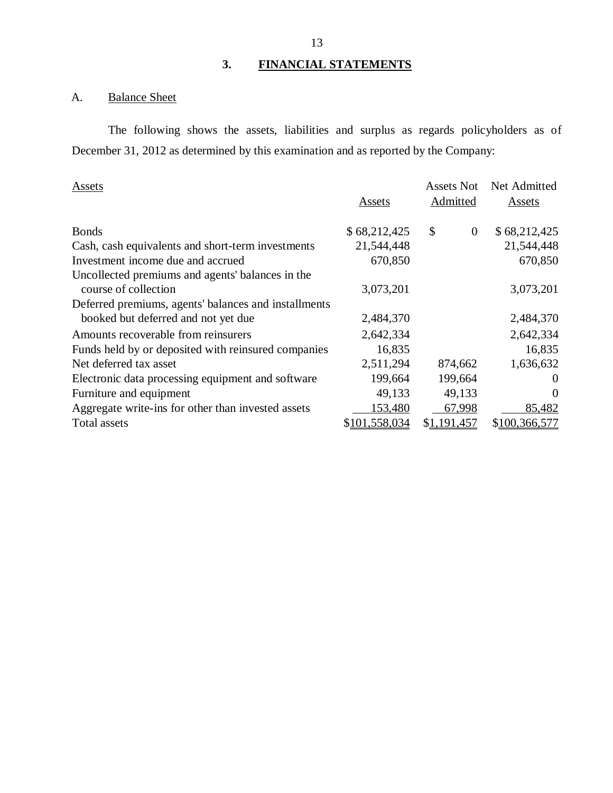#### 3. **3. FINANCIAL STATEMENTS**

#### <span id="page-14-0"></span>A. **Balance Sheet**

 The following shows the assets, liabilities and surplus as regards policyholders as of December 31, 2012 as determined by this examination and as reported by the Company:

| Assets                                               |               | Assets Not           | Net Admitted  |  |
|------------------------------------------------------|---------------|----------------------|---------------|--|
|                                                      | Assets        | <b>Admitted</b>      | <b>Assets</b> |  |
| <b>Bonds</b>                                         | \$68,212,425  | \$<br>$\overline{0}$ | \$68,212,425  |  |
| Cash, cash equivalents and short-term investments    | 21,544,448    |                      | 21,544,448    |  |
| Investment income due and accrued                    | 670,850       |                      | 670,850       |  |
| Uncollected premiums and agents' balances in the     |               |                      |               |  |
| course of collection                                 | 3,073,201     |                      | 3,073,201     |  |
| Deferred premiums, agents' balances and installments |               |                      |               |  |
| booked but deferred and not yet due                  | 2,484,370     |                      | 2,484,370     |  |
| Amounts recoverable from reinsurers                  | 2,642,334     |                      | 2,642,334     |  |
| Funds held by or deposited with reinsured companies  | 16,835        |                      | 16,835        |  |
| Net deferred tax asset                               | 2,511,294     | 874,662              | 1,636,632     |  |
| Electronic data processing equipment and software    | 199,664       | 199,664              | $\theta$      |  |
| Furniture and equipment                              | 49,133        | 49,133               | $\Omega$      |  |
| Aggregate write-ins for other than invested assets   | 153,480       | 67,998               | 85,482        |  |
| Total assets                                         | \$101,558,034 | \$1,191,457          | \$100,366,577 |  |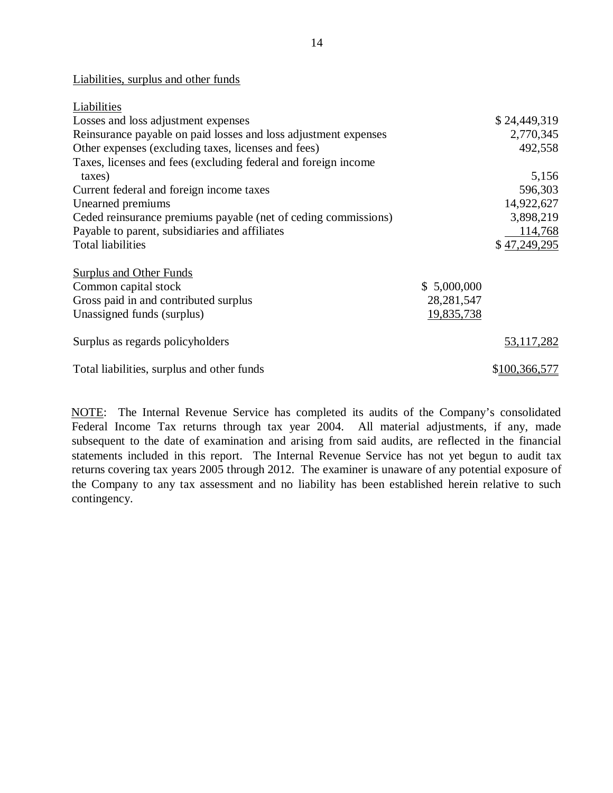14<br>14 Liabilities, surplus and other funds

| Liabilities                                                     |              |               |
|-----------------------------------------------------------------|--------------|---------------|
| Losses and loss adjustment expenses                             |              | \$24,449,319  |
| Reinsurance payable on paid losses and loss adjustment expenses |              | 2,770,345     |
| Other expenses (excluding taxes, licenses and fees)             |              | 492,558       |
| Taxes, licenses and fees (excluding federal and foreign income  |              |               |
| taxes)                                                          |              | 5,156         |
| Current federal and foreign income taxes                        |              | 596,303       |
| Unearned premiums                                               |              | 14,922,627    |
| Ceded reinsurance premiums payable (net of ceding commissions)  |              | 3,898,219     |
| Payable to parent, subsidiaries and affiliates                  |              | 114,768       |
| <b>Total liabilities</b>                                        |              | \$47,249,295  |
| <b>Surplus and Other Funds</b>                                  |              |               |
| Common capital stock                                            | \$5,000,000  |               |
| Gross paid in and contributed surplus                           | 28, 281, 547 |               |
| Unassigned funds (surplus)                                      | 19,835,738   |               |
| Surplus as regards policyholders                                |              | 53,117,282    |
| Total liabilities, surplus and other funds                      |              | \$100,366,577 |

NOTE: The Internal Revenue Service has completed its audits of the Company's consolidated Federal Income Tax returns through tax year 2004. All material adjustments, if any, made subsequent to the date of examination and arising from said audits, are reflected in the financial statements included in this report. The Internal Revenue Service has not yet begun to audit tax returns covering tax years 2005 through 2012. The examiner is unaware of any potential exposure of the Company to any tax assessment and no liability has been established herein relative to such contingency.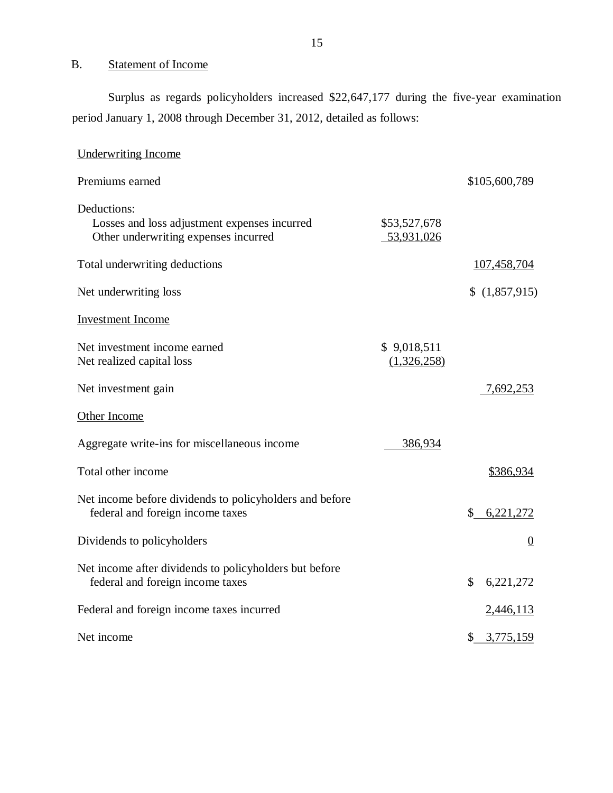#### $B.$ **Statement of Income**

 period January 1, 2008 through December 31, 2012, detailed as follows: Surplus as regards policyholders increased \$22,647,177 during the five-year examination

| <b>Underwriting Income</b>                                                                          |                            |                 |
|-----------------------------------------------------------------------------------------------------|----------------------------|-----------------|
| Premiums earned                                                                                     |                            | \$105,600,789   |
| Deductions:<br>Losses and loss adjustment expenses incurred<br>Other underwriting expenses incurred | \$53,527,678<br>53,931,026 |                 |
| Total underwriting deductions                                                                       |                            | 107,458,704     |
| Net underwriting loss                                                                               |                            | \$(1,857,915)   |
| <b>Investment</b> Income                                                                            |                            |                 |
| Net investment income earned<br>Net realized capital loss                                           | \$9,018,511<br>(1,326,258) |                 |
| Net investment gain                                                                                 |                            | 7,692,253       |
| Other Income                                                                                        |                            |                 |
| Aggregate write-ins for miscellaneous income                                                        | 386,934                    |                 |
| Total other income                                                                                  |                            | \$386,934       |
| Net income before dividends to policyholders and before<br>federal and foreign income taxes         |                            | \$6,221,272     |
| Dividends to policyholders                                                                          |                            | $\overline{0}$  |
| Net income after dividends to policyholders but before<br>federal and foreign income taxes          |                            | \$<br>6,221,272 |
| Federal and foreign income taxes incurred                                                           |                            | 2,446,113       |
| Net income                                                                                          |                            | \$3,775,159     |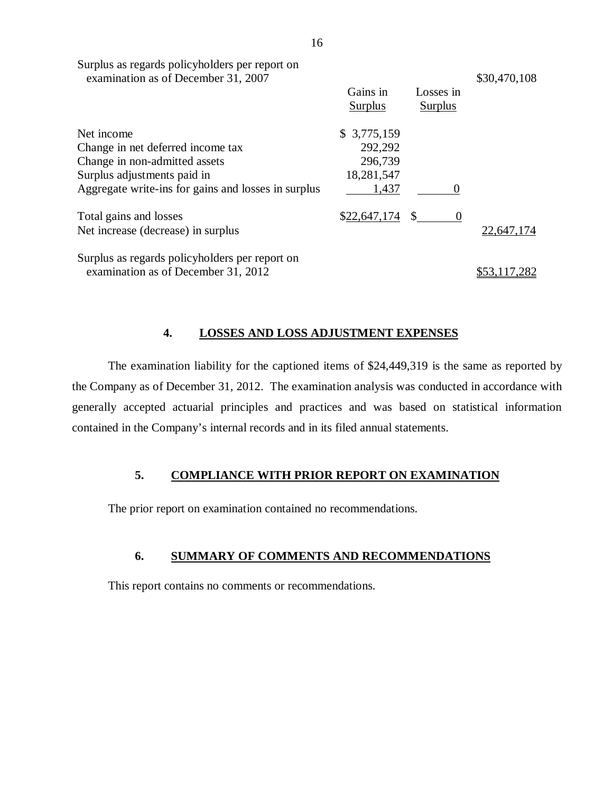|                                                                                       | 16 |                            |               |                             |              |
|---------------------------------------------------------------------------------------|----|----------------------------|---------------|-----------------------------|--------------|
| Surplus as regards policyholders per report on<br>examination as of December 31, 2007 |    |                            |               |                             | \$30,470,108 |
|                                                                                       |    | Gains in<br><b>Surplus</b> |               | Losses in<br><b>Surplus</b> |              |
| Net income                                                                            |    | \$3,775,159                |               |                             |              |
| Change in net deferred income tax                                                     |    | 292,292                    |               |                             |              |
| Change in non-admitted assets                                                         |    | 296,739                    |               |                             |              |
| Surplus adjustments paid in                                                           |    | 18,281,547                 |               |                             |              |
| Aggregate write-ins for gains and losses in surplus                                   |    | 1,437                      |               |                             |              |
| Total gains and losses                                                                |    | \$22,647,174               | <sup>\$</sup> | $\theta$                    |              |
| Net increase (decrease) in surplus                                                    |    |                            |               |                             | 22,647,174   |
| Surplus as regards policyholders per report on                                        |    |                            |               |                             |              |
| examination as of December 31, 2012                                                   |    |                            |               |                             |              |

#### **4. LOSSES AND LOSS ADJUSTMENT EXPENSES**

 the Company as of December 31, 2012. The examination analysis was conducted in accordance with generally accepted actuarial principles and practices and was based on statistical information contained in the Company's internal records and in its filed annual statements. The examination liability for the captioned items of \$24,449,319 is the same as reported by

## **5. COMPLIANCE WITH PRIOR REPORT ON EXAMINATION**

The prior report on examination contained no recommendations.

## **6. SUMMARY OF COMMENTS AND RECOMMENDATIONS**

This report contains no comments or recommendations.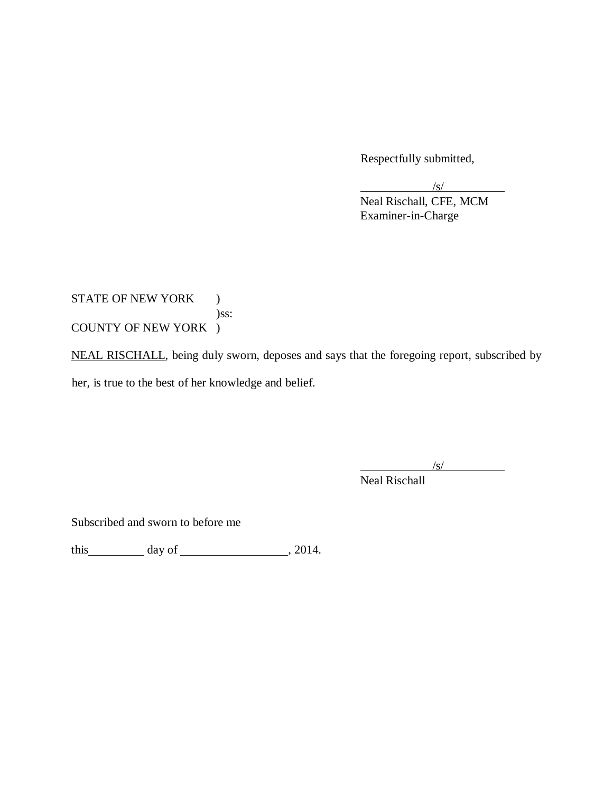Respectfully submitted,

 $\sqrt{s/2}$ 

Neal Rischall, CFE, MCM Examiner-in-Charge

STATE OF NEW YORK )  $)$ ss: )ss:<br>COUNTY OF NEW YORK )

NEAL RISCHALL, being duly sworn, deposes and says that the foregoing report, subscribed by her, is true to the best of her knowledge and belief.

/s/

Neal Rischall

Subscribed and sworn to before me

this  $\frac{day \text{ of } (x,y) - (x,y) \text{ of } (x,y) - (x,y) \text{ of } (x,y) \text{ of } (x,y)$